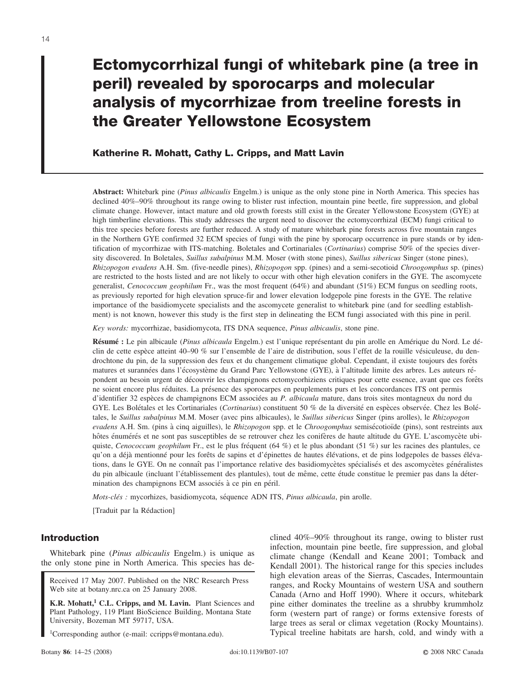# **Ectomycorrhizal fungi of whitebark pine (a tree in peril) revealed by sporocarps and molecular analysis of mycorrhizae from treeline forests in the Greater Yellowstone Ecosystem**

# **Katherine R. Mohatt, Cathy L. Cripps, and Matt Lavin**

**Abstract:** Whitebark pine (*Pinus albicaulis* Engelm.) is unique as the only stone pine in North America. This species has declined 40%–90% throughout its range owing to blister rust infection, mountain pine beetle, fire suppression, and global climate change. However, intact mature and old growth forests still exist in the Greater Yellowstone Ecosystem (GYE) at high timberline elevations. This study addresses the urgent need to discover the ectomycorrhizal (ECM) fungi critical to this tree species before forests are further reduced. A study of mature whitebark pine forests across five mountain ranges in the Northern GYE confirmed 32 ECM species of fungi with the pine by sporocarp occurrence in pure stands or by identification of mycorrhizae with ITS-matching. Boletales and Cortinariales (*Cortinarius*) comprise 50% of the species diversity discovered. In Boletales, *Suillus subalpinus* M.M. Moser (with stone pines), *Suillus sibericus* Singer (stone pines), *Rhizopogon evadens* A.H. Sm. (five-needle pines), *Rhizopogon* spp. (pines) and a semi-secotioid *Chroogomphus* sp. (pines) are restricted to the hosts listed and are not likely to occur with other high elevation conifers in the GYE. The ascomycete generalist, *Cenococcum geophilum* Fr., was the most frequent (64%) and abundant (51%) ECM fungus on seedling roots, as previously reported for high elevation spruce-fir and lower elevation lodgepole pine forests in the GYE. The relative importance of the basidiomycete specialists and the ascomycete generalist to whitebark pine (and for seedling establishment) is not known, however this study is the first step in delineating the ECM fungi associated with this pine in peril.

*Key words:* mycorrhizae, basidiomycota, ITS DNA sequence, *Pinus albicaulis*, stone pine.

**Résumé :** Le pin albicaule (*Pinus albicaula* Engelm.) est l'unique représentant du pin arolle en Amérique du Nord. Le déclin de cette espèce atteint 40–90 % sur l'ensemble de l'aire de distribution, sous l'effet de la rouille vésiculeuse, du dendrochtone du pin, de la suppression des feux et du changement climatique global. Cependant, il existe toujours des forêts matures et surannées dans l'écosystème du Grand Parc Yellowstone (GYE), à l'altitude limite des arbres. Les auteurs répondent au besoin urgent de découvrir les champignons ectomycorhiziens critiques pour cette essence, avant que ces forêts ne soient encore plus réduites. La présence des sporocarpes en peuplements purs et les concordances ITS ont permis d'identifier 32 espèces de champignons ECM associées au *P. albicaula* mature, dans trois sites montagneux du nord du GYE. Les Bolétales et les Cortinariales (*Cortinarius*) constituent 50 % de la diversité en espèces observée. Chez les Bolétales, le *Suillus subalpinus* M.M. Moser (avec pins albicaules), le *Suillus sibericus* Singer (pins arolles), le *Rhizopogon evadens* A.H. Sm. (pins a` cinq aiguilles), le *Rhizopogon* spp. et le *Chroogomphus* semise´cotioı¨de (pins), sont restreints aux hôtes énumérés et ne sont pas susceptibles de se retrouver chez les conifères de haute altitude du GYE. L'ascomycète ubiquiste, *Cenococcum geophilum* Fr., est le plus fréquent (64 %) et le plus abondant (51 %) sur les racines des plantules, ce qu'on a déjà mentionné pour les forêts de sapins et d'épinettes de hautes élévations, et de pins lodgepoles de basses élévations, dans le GYE. On ne connaît pas l'importance relative des basidiomycètes spécialisés et des ascomycètes généralistes du pin albicaule (incluant l'établissement des plantules), tout de même, cette étude constitue le premier pas dans la détermination des champignons ECM associés à ce pin en péril.

*Mots-clés :* mycorhizes, basidiomycota, séquence ADN ITS, *Pinus albicaula*, pin arolle.

[Traduit par la Rédaction]

# **Introduction**

Whitebark pine (*Pinus albicaulis* Engelm.) is unique as the only stone pine in North America. This species has de-

Received 17 May 2007. Published on the NRC Research Press Web site at botany.nrc.ca on 25 January 2008.

**K.R. Mohatt,1 C.L. Cripps, and M. Lavin.** Plant Sciences and Plant Pathology, 119 Plant BioScience Building, Montana State University, Bozeman MT 59717, USA.

<sup>1</sup>Corresponding author (e-mail: ccripps@montana.edu).

clined 40%–90% throughout its range, owing to blister rust infection, mountain pine beetle, fire suppression, and global climate change (Kendall and Keane 2001; Tomback and Kendall 2001). The historical range for this species includes high elevation areas of the Sierras, Cascades, Intermountain ranges, and Rocky Mountains of western USA and southern Canada (Arno and Hoff 1990). Where it occurs, whitebark pine either dominates the treeline as a shrubby krummholz form (western part of range) or forms extensive forests of large trees as seral or climax vegetation (Rocky Mountains). Typical treeline habitats are harsh, cold, and windy with a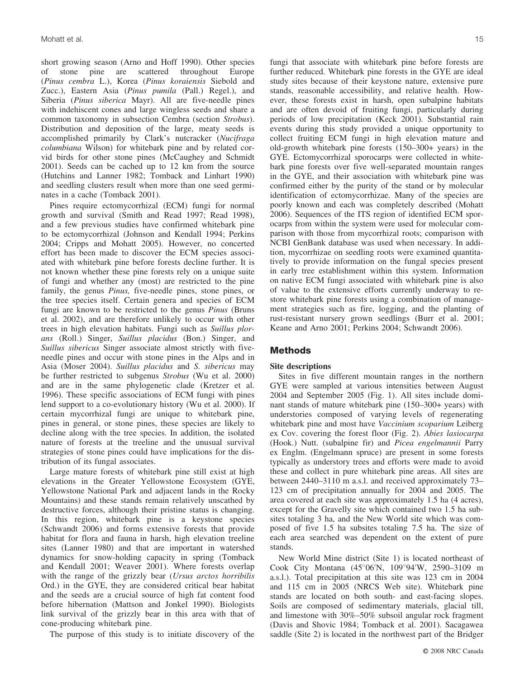short growing season (Arno and Hoff 1990). Other species of stone pine are scattered throughout Europe (*Pinus cembra* L.), Korea (*Pinus koraiensis* Siebold and Zucc.), Eastern Asia (*Pinus pumila* (Pall.) Regel.), and Siberia (*Pinus siberica* Mayr). All are five-needle pines with indehiscent cones and large wingless seeds and share a common taxonomy in subsection Cembra (section *Strobus*). Distribution and deposition of the large, meaty seeds is accomplished primarily by Clark's nutcracker (*Nucifraga columbiana* Wilson) for whitebark pine and by related corvid birds for other stone pines (McCaughey and Schmidt 2001). Seeds can be cached up to 12 km from the source (Hutchins and Lanner 1982; Tomback and Linhart 1990) and seedling clusters result when more than one seed germinates in a cache (Tomback 2001).

Pines require ectomycorrhizal (ECM) fungi for normal growth and survival (Smith and Read 1997; Read 1998), and a few previous studies have confirmed whitebark pine to be ectomycorrhizal (Johnson and Kendall 1994; Perkins 2004; Cripps and Mohatt 2005). However, no concerted effort has been made to discover the ECM species associated with whitebark pine before forests decline further. It is not known whether these pine forests rely on a unique suite of fungi and whether any (most) are restricted to the pine family, the genus *Pinus,* five-needle pines, stone pines, or the tree species itself. Certain genera and species of ECM fungi are known to be restricted to the genus *Pinus* (Bruns et al. 2002), and are therefore unlikely to occur with other trees in high elevation habitats. Fungi such as *Suillus plorans* (Roll.) Singer, *Suillus placidus* (Bon.) Singer, and *Suillus sibericus* Singer associate almost strictly with fiveneedle pines and occur with stone pines in the Alps and in Asia (Moser 2004). *Suillus placidus* and *S. sibericus* may be further restricted to subgenus *Strobus* (Wu et al. 2000) and are in the same phylogenetic clade (Kretzer et al. 1996). These specific associations of ECM fungi with pines lend support to a co-evolutionary history (Wu et al. 2000). If certain mycorrhizal fungi are unique to whitebark pine, pines in general, or stone pines, these species are likely to decline along with the tree species. In addition, the isolated nature of forests at the treeline and the unusual survival strategies of stone pines could have implications for the distribution of its fungal associates.

Large mature forests of whitebark pine still exist at high elevations in the Greater Yellowstone Ecosystem (GYE, Yellowstone National Park and adjacent lands in the Rocky Mountains) and these stands remain relatively unscathed by destructive forces, although their pristine status is changing. In this region, whitebark pine is a keystone species (Schwandt 2006) and forms extensive forests that provide habitat for flora and fauna in harsh, high elevation treeline sites (Lanner 1980) and that are important in watershed dynamics for snow-holding capacity in spring (Tomback and Kendall 2001; Weaver 2001). Where forests overlap with the range of the grizzly bear (*Ursus arctos horribilis* Ord.) in the GYE, they are considered critical bear habitat and the seeds are a crucial source of high fat content food before hibernation (Mattson and Jonkel 1990). Biologists link survival of the grizzly bear in this area with that of cone-producing whitebark pine.

The purpose of this study is to initiate discovery of the

fungi that associate with whitebark pine before forests are further reduced. Whitebark pine forests in the GYE are ideal study sites because of their keystone nature, extensive pure stands, reasonable accessibility, and relative health. However, these forests exist in harsh, open subalpine habitats and are often devoid of fruiting fungi, particularly during periods of low precipitation (Keck 2001). Substantial rain events during this study provided a unique opportunity to collect fruiting ECM fungi in high elevation mature and old-growth whitebark pine forests (150–300+ years) in the GYE. Ectomycorrhizal sporocarps were collected in whitebark pine forests over five well-separated mountain ranges in the GYE, and their association with whitebark pine was confirmed either by the purity of the stand or by molecular identification of ectomycorrhizae. Many of the species are poorly known and each was completely described (Mohatt 2006). Sequences of the ITS region of identified ECM sporocarps from within the system were used for molecular comparison with those from mycorrhizal roots; comparison with NCBI GenBank database was used when necessary. In addition, mycorrhizae on seedling roots were examined quantitatively to provide information on the fungal species present in early tree establishment within this system. Information on native ECM fungi associated with whitebark pine is also of value to the extensive efforts currently underway to restore whitebark pine forests using a combination of management strategies such as fire, logging, and the planting of rust-resistant nursery grown seedlings (Burr et al. 2001; Keane and Arno 2001; Perkins 2004; Schwandt 2006).

# **Methods**

## **Site descriptions**

Sites in five different mountain ranges in the northern GYE were sampled at various intensities between August 2004 and September 2005 (Fig. 1). All sites include dominant stands of mature whitebark pine (150–300+ years) with understories composed of varying levels of regenerating whitebark pine and most have *Vaccinium scoparium* Leiberg ex Cov. covering the forest floor (Fig. 2). *Abies lasiocarpa* (Hook.) Nutt. (subalpine fir) and *Picea engelmannii* Parry ex Englm. (Engelmann spruce) are present in some forests typically as understory trees and efforts were made to avoid these and collect in pure whitebark pine areas. All sites are between 2440–3110 m a.s.l. and received approximately 73– 123 cm of precipitation annually for 2004 and 2005. The area covered at each site was approximately 1.5 ha (4 acres), except for the Gravelly site which contained two 1.5 ha subsites totaling 3 ha, and the New World site which was composed of five 1.5 ha subsites totaling 7.5 ha. The size of each area searched was dependent on the extent of pure stands.

New World Mine district (Site 1) is located northeast of Cook City Montana  $(45^{\circ}06'N, 109^{\circ}94'W, 2590-3109$  m a.s.l.). Total precipitation at this site was 123 cm in 2004 and 115 cm in 2005 (NRCS Web site). Whitebark pine stands are located on both south- and east-facing slopes. Soils are composed of sedimentary materials, glacial till, and limestone with 30%–50% subsoil angular rock fragment (Davis and Shovic 1984; Tomback et al. 2001). Sacagawea saddle (Site 2) is located in the northwest part of the Bridger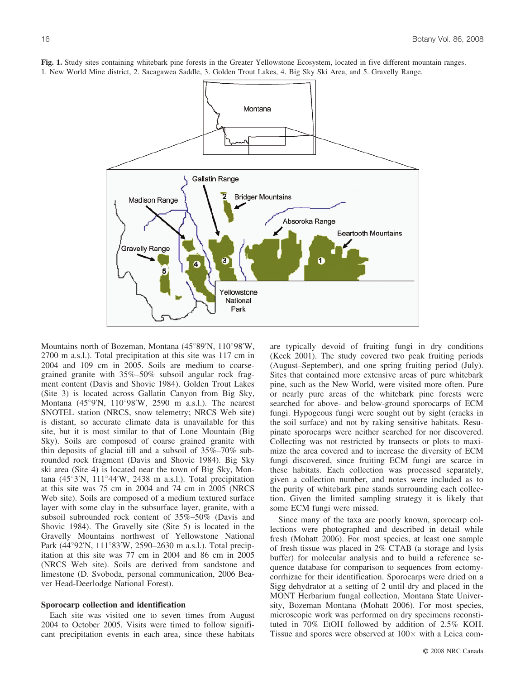

**Fig. 1.** Study sites containing whitebark pine forests in the Greater Yellowstone Ecosystem, located in five different mountain ranges. 1. New World Mine district, 2. Sacagawea Saddle, 3. Golden Trout Lakes, 4. Big Sky Ski Area, and 5. Gravelly Range.

Mountains north of Bozeman, Montana  $(45^{\circ}89'N, 110^{\circ}98'W,$ 2700 m a.s.l.). Total precipitation at this site was 117 cm in 2004 and 109 cm in 2005. Soils are medium to coarsegrained granite with 35%–50% subsoil angular rock fragment content (Davis and Shovic 1984). Golden Trout Lakes (Site 3) is located across Gallatin Canyon from Big Sky, Montana  $(45^{\circ}9'N, 110^{\circ}98'W, 2590 \text{ m a.s.l.})$ . The nearest SNOTEL station (NRCS, snow telemetry; NRCS Web site) is distant, so accurate climate data is unavailable for this site, but it is most similar to that of Lone Mountain (Big Sky). Soils are composed of coarse grained granite with thin deposits of glacial till and a subsoil of 35%–70% subrounded rock fragment (Davis and Shovic 1984). Big Sky ski area (Site 4) is located near the town of Big Sky, Montana  $(45^{\circ}3'N, 111^{\circ}44'W, 2438 \text{ m a.s.l.})$ . Total precipitation at this site was 75 cm in 2004 and 74 cm in 2005 (NRCS Web site). Soils are composed of a medium textured surface layer with some clay in the subsurface layer, granite, with a subsoil subrounded rock content of 35%–50% (Davis and Shovic 1984). The Gravelly site (Site 5) is located in the Gravelly Mountains northwest of Yellowstone National Park (44°92'N, 111°83'W, 2590–2630 m a.s.l.). Total precipitation at this site was 77 cm in 2004 and 86 cm in 2005 (NRCS Web site). Soils are derived from sandstone and limestone (D. Svoboda, personal communication, 2006 Beaver Head-Deerlodge National Forest).

#### **Sporocarp collection and identification**

Each site was visited one to seven times from August 2004 to October 2005. Visits were timed to follow significant precipitation events in each area, since these habitats

are typically devoid of fruiting fungi in dry conditions (Keck 2001). The study covered two peak fruiting periods (August–September), and one spring fruiting period (July). Sites that contained more extensive areas of pure whitebark pine, such as the New World, were visited more often. Pure or nearly pure areas of the whitebark pine forests were searched for above- and below-ground sporocarps of ECM fungi. Hypogeous fungi were sought out by sight (cracks in the soil surface) and not by raking sensitive habitats. Resupinate sporocarps were neither searched for nor discovered. Collecting was not restricted by transects or plots to maximize the area covered and to increase the diversity of ECM fungi discovered, since fruiting ECM fungi are scarce in these habitats. Each collection was processed separately, given a collection number, and notes were included as to the purity of whitebark pine stands surrounding each collection. Given the limited sampling strategy it is likely that some ECM fungi were missed.

Since many of the taxa are poorly known, sporocarp collections were photographed and described in detail while fresh (Mohatt 2006). For most species, at least one sample of fresh tissue was placed in 2% CTAB (a storage and lysis buffer) for molecular analysis and to build a reference sequence database for comparison to sequences from ectomycorrhizae for their identification. Sporocarps were dried on a Sigg dehydrator at a setting of 2 until dry and placed in the MONT Herbarium fungal collection, Montana State University, Bozeman Montana (Mohatt 2006). For most species, microscopic work was performed on dry specimens reconstituted in 70% EtOH followed by addition of 2.5% KOH. Tissue and spores were observed at  $100 \times$  with a Leica com-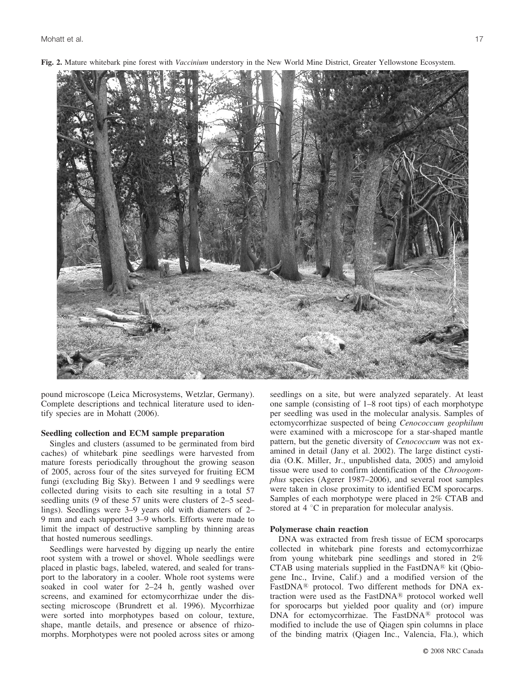

**Fig. 2.** Mature whitebark pine forest with *Vaccinium* understory in the New World Mine District, Greater Yellowstone Ecosystem.

pound microscope (Leica Microsystems, Wetzlar, Germany). Complete descriptions and technical literature used to identify species are in Mohatt (2006).

#### **Seedling collection and ECM sample preparation**

Singles and clusters (assumed to be germinated from bird caches) of whitebark pine seedlings were harvested from mature forests periodically throughout the growing season of 2005, across four of the sites surveyed for fruiting ECM fungi (excluding Big Sky). Between 1 and 9 seedlings were collected during visits to each site resulting in a total 57 seedling units (9 of these 57 units were clusters of 2–5 seedlings). Seedlings were 3–9 years old with diameters of 2– 9 mm and each supported 3–9 whorls. Efforts were made to limit the impact of destructive sampling by thinning areas that hosted numerous seedlings.

Seedlings were harvested by digging up nearly the entire root system with a trowel or shovel. Whole seedlings were placed in plastic bags, labeled, watered, and sealed for transport to the laboratory in a cooler. Whole root systems were soaked in cool water for 2–24 h, gently washed over screens, and examined for ectomycorrhizae under the dissecting microscope (Brundrett et al. 1996). Mycorrhizae were sorted into morphotypes based on colour, texture, shape, mantle details, and presence or absence of rhizomorphs. Morphotypes were not pooled across sites or among

seedlings on a site, but were analyzed separately. At least one sample (consisting of 1–8 root tips) of each morphotype per seedling was used in the molecular analysis. Samples of ectomycorrhizae suspected of being *Cenococcum geophilum* were examined with a microscope for a star-shaped mantle pattern, but the genetic diversity of *Cenococcum* was not examined in detail (Jany et al. 2002). The large distinct cystidia (O.K. Miller, Jr., unpublished data, 2005) and amyloid tissue were used to confirm identification of the *Chroogomphus* species (Agerer 1987–2006), and several root samples were taken in close proximity to identified ECM sporocarps. Samples of each morphotype were placed in 2% CTAB and stored at  $4 \degree C$  in preparation for molecular analysis.

#### **Polymerase chain reaction**

DNA was extracted from fresh tissue of ECM sporocarps collected in whitebark pine forests and ectomycorrhizae from young whitebark pine seedlings and stored in 2% CTAB using materials supplied in the FastDNA $@$  kit (Qbiogene Inc., Irvine, Calif.) and a modified version of the FastDNA<sup>®</sup> protocol. Two different methods for DNA extraction were used as the FastDNA<sup>®</sup> protocol worked well for sporocarps but yielded poor quality and (or) impure DNA for ectomycorrhizae. The FastDNA® protocol was modified to include the use of Qiagen spin columns in place of the binding matrix (Qiagen Inc., Valencia, Fla.), which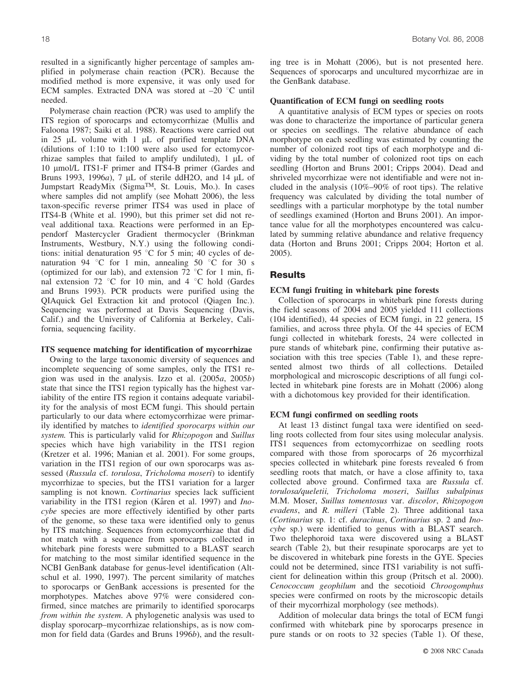resulted in a significantly higher percentage of samples amplified in polymerase chain reaction (PCR). Because the modified method is more expensive, it was only used for ECM samples. Extracted DNA was stored at  $-20$  °C until needed.

Polymerase chain reaction (PCR) was used to amplify the ITS region of sporocarps and ectomycorrhizae (Mullis and Faloona 1987; Saiki et al. 1988). Reactions were carried out in 25  $\mu$ L volume with 1  $\mu$ L of purified template DNA (dilutions of 1:10 to 1:100 were also used for ectomycorrhizae samples that failed to amplify undiluted),  $1 \mu L$  of 10 μmol/L ITS1-F primer and ITS4-B primer (Gardes and Bruns 1993, 1996*a*), 7 mL of sterile ddH2O, and 14 mL of Jumpstart ReadyMix (SigmaTM, St. Louis, Mo.). In cases where samples did not amplify (see Mohatt 2006), the less taxon-specific reverse primer ITS4 was used in place of ITS4-B (White et al. 1990), but this primer set did not reveal additional taxa. Reactions were performed in an Eppendorf Mastercycler Gradient thermocycler (Brinkman Instruments, Westbury, N.Y.) using the following conditions: initial denaturation 95  $\degree$ C for 5 min; 40 cycles of denaturation 94  $\degree$ C for 1 min, annealing 50  $\degree$ C for 30 s (optimized for our lab), and extension  $72 \degree C$  for 1 min, final extension 72 °C for 10 min, and 4 °C hold (Gardes and Bruns 1993). PCR products were purified using the QIAquick Gel Extraction kit and protocol (Qiagen Inc.). Sequencing was performed at Davis Sequencing (Davis, Calif.) and the University of California at Berkeley, California, sequencing facility.

#### **ITS sequence matching for identification of mycorrhizae**

Owing to the large taxonomic diversity of sequences and incomplete sequencing of some samples, only the ITS1 region was used in the analysis. Izzo et al. (2005*a*, 2005*b*) state that since the ITS1 region typically has the highest variability of the entire ITS region it contains adequate variability for the analysis of most ECM fungi. This should pertain particularly to our data where ectomycorrhizae were primarily identified by matches to *identified sporocarps within our system.* This is particularly valid for *Rhizopogon* and *Suillus* species which have high variability in the ITS1 region (Kretzer et al. 1996; Manian et al. 2001). For some groups, variation in the ITS1 region of our own sporocarps was assessed (*Russula* cf. *torulosa*, *Tricholoma moseri*) to identify mycorrhizae to species, but the ITS1 variation for a larger sampling is not known. *Cortinarius* species lack sufficient variability in the ITS1 region (Kåren et al. 1997) and *Inocybe* species are more effectively identified by other parts of the genome, so these taxa were identified only to genus by ITS matching. Sequences from ectomycorrhizae that did not match with a sequence from sporocarps collected in whitebark pine forests were submitted to a BLAST search for matching to the most similar identified sequence in the NCBI GenBank database for genus-level identification (Altschul et al. 1990, 1997). The percent similarity of matches to sporocarps or GenBank accessions is presented for the morphotypes. Matches above 97% were considered confirmed, since matches are primarily to identified sporocarps *from within the system*. A phylogenetic analysis was used to display sporocarp–mycorrhizae relationships, as is now common for field data (Gardes and Bruns 1996*b*), and the resulting tree is in Mohatt (2006), but is not presented here. Sequences of sporocarps and uncultured mycorrhizae are in the GenBank database.

#### **Quantification of ECM fungi on seedling roots**

A quantitative analysis of ECM types or species on roots was done to characterize the importance of particular genera or species on seedlings. The relative abundance of each morphotype on each seedling was estimated by counting the number of colonized root tips of each morphotype and dividing by the total number of colonized root tips on each seedling (Horton and Bruns 2001; Cripps 2004). Dead and shriveled mycorrhizae were not identifiable and were not included in the analysis (10%–90% of root tips). The relative frequency was calculated by dividing the total number of seedlings with a particular morphotype by the total number of seedlings examined (Horton and Bruns 2001). An importance value for all the morphotypes encountered was calculated by summing relative abundance and relative frequency data (Horton and Bruns 2001; Cripps 2004; Horton et al. 2005).

## **Results**

#### **ECM fungi fruiting in whitebark pine forests**

Collection of sporocarps in whitebark pine forests during the field seasons of 2004 and 2005 yielded 111 collections (104 identified), 44 species of ECM fungi, in 22 genera, 15 families, and across three phyla. Of the 44 species of ECM fungi collected in whitebark forests, 24 were collected in pure stands of whitebark pine, confirming their putative association with this tree species (Table 1), and these represented almost two thirds of all collections. Detailed morphological and microscopic descriptions of all fungi collected in whitebark pine forests are in Mohatt (2006) along with a dichotomous key provided for their identification.

#### **ECM fungi confirmed on seedling roots**

At least 13 distinct fungal taxa were identified on seedling roots collected from four sites using molecular analysis. ITS1 sequences from ectomycorrhizae on seedling roots compared with those from sporocarps of 26 mycorrhizal species collected in whitebark pine forests revealed 6 from seedling roots that match, or have a close affinity to, taxa collected above ground. Confirmed taxa are *Russula* cf. *torulosa/queletii, Tricholoma moseri*, *Suillus subalpinus* M.M. Moser, *Suillus tomentosus* var. *discolor*, *Rhizopogon evadens*, and *R. milleri* (Table 2). Three additional taxa (*Cortinarius* sp. 1: cf. *duracinus*, *Cortinarius* sp. 2 and *Inocybe* sp.) were identified to genus with a BLAST search. Two thelephoroid taxa were discovered using a BLAST search (Table 2), but their resupinate sporocarps are yet to be discovered in whitebark pine forests in the GYE. Species could not be determined, since ITS1 variability is not sufficient for delineation within this group (Pritsch et al. 2000). *Cenococcum geophilum* and the secotioid *Chroogomphus* species were confirmed on roots by the microscopic details of their mycorrhizal morphology (see methods).

Addition of molecular data brings the total of ECM fungi confirmed with whitebark pine by sporocarps presence in pure stands or on roots to 32 species (Table 1). Of these,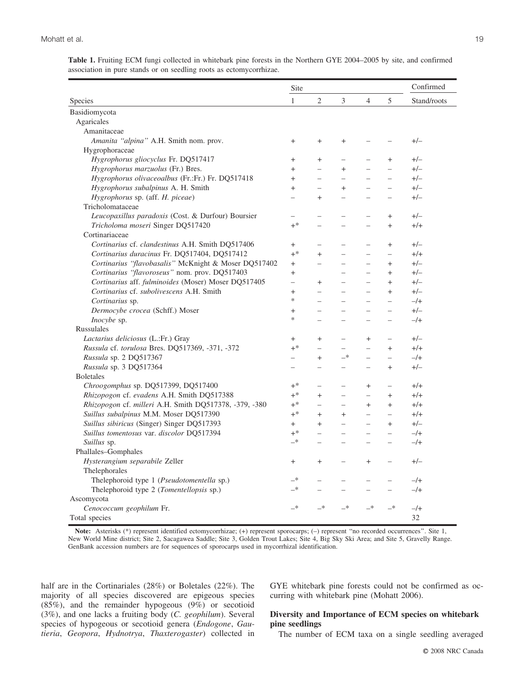|                                                                     |  |  |  | Table 1. Fruiting ECM fungi collected in whitebark pine forests in the Northern GYE 2004–2005 by site, and confirmed |  |  |
|---------------------------------------------------------------------|--|--|--|----------------------------------------------------------------------------------------------------------------------|--|--|
| association in pure stands or on seedling roots as ectomycorrhizae. |  |  |  |                                                                                                                      |  |  |

|                                                        | Site          |                          |                          |                |                          | Confirmed   |
|--------------------------------------------------------|---------------|--------------------------|--------------------------|----------------|--------------------------|-------------|
| Species                                                | $\mathbf{1}$  | $\overline{c}$           | 3                        | $\overline{4}$ | 5                        | Stand/roots |
| Basidiomycota                                          |               |                          |                          |                |                          |             |
| Agaricales                                             |               |                          |                          |                |                          |             |
| Amanitaceae                                            |               |                          |                          |                |                          |             |
| Amanita "alpina" A.H. Smith nom. prov.                 | $\ddot{}$     | $\ddot{}$                | $\ddot{}$                |                |                          | $+/-$       |
| Hygrophoraceae                                         |               |                          |                          |                |                          |             |
| Hygrophorus gliocyclus Fr. DQ517417                    | $+$           | $^{+}$                   | $\overline{\phantom{m}}$ | $=$            | $\ddot{}$                | $+/-$       |
| Hygrophorus marzuolus (Fr.) Bres.                      | $+$           | $\overline{\phantom{0}}$ | $+$                      |                | $\overline{\phantom{0}}$ | $+/-$       |
| Hygrophorus olivaceoalbus (Fr.:Fr.) Fr. DQ517418       | $\ddot{}$     |                          | $\equiv$                 |                |                          | $+/-$       |
| Hygrophorus subalpinus A. H. Smith                     | $+$           | $\overline{\phantom{0}}$ | $+$                      | $\equiv$       | $\overline{\phantom{0}}$ | $+/-$       |
| Hygrophorus sp. (aff. H. piceae)                       | $\equiv$      | $\ddot{}$                | $\equiv$                 |                |                          | $+/-$       |
| Tricholomataceae                                       |               |                          |                          |                |                          |             |
| Leucopaxillus paradoxis (Cost. & Durfour) Boursier     | $\equiv$      | $\equiv$                 | $\equiv$                 | $\equiv$       | $\ddot{}$                | $+/-$       |
| Tricholoma moseri Singer DQ517420                      | $+^*$         | $\overline{a}$           |                          |                | $+$                      | $+/-$       |
| Cortinariaceae                                         |               |                          |                          |                |                          |             |
| Cortinarius cf. clandestinus A.H. Smith DQ517406       | $+$           |                          |                          |                | $^{+}$                   | $+/-$       |
| Cortinarius duracinus Fr. DQ517404, DQ517412           | $+^*$         | $^{+}$                   | $\equiv$                 |                | $\equiv$                 | $+/-$       |
| Cortinarius "flavobasalis" McKnight & Moser DQ517402   | $^{+}$        | $\overline{\phantom{0}}$ |                          |                | $+$                      | $+/-$       |
| Cortinarius "flavoroseus" nom. prov. DQ517403          | $+$           |                          | $\equiv$                 | $\equiv$       | $+$                      | $+/-$       |
| Cortinarius aff. fulminoides (Moser) Moser DQ517405    | $\equiv$      | $^{+}$                   | $\equiv$                 |                | $+$                      | $+/-$       |
| Cortinarius cf. subolivescens A.H. Smith               | $+$           | $\overline{\phantom{0}}$ | $\equiv$                 | $\equiv$       | $+$                      | $+/-$       |
| Cortinarius sp.                                        | *             |                          |                          |                |                          | $-/+$       |
| Dermocybe crocea (Schff.) Moser                        | $+$           |                          |                          |                |                          | $+/-$       |
| Inocybe sp.                                            | ∗             | $\overline{\phantom{0}}$ | $\overline{\phantom{0}}$ |                | $\overline{\phantom{0}}$ | $-$ /+      |
| <b>Russulales</b>                                      |               |                          |                          |                |                          |             |
| Lactarius deliciosus (L.:Fr.) Gray                     | $^{+}$        | $^{+}$                   | $\equiv$                 | $^{+}$         | $\overline{a}$           | $+/-$       |
| Russula cf. torulosa Bres. DQ517369, -371, -372        | $+^*$         | -                        | ÷,                       | $\equiv$       | $+$                      | $+/+$       |
| Russula sp. 2 DQ517367                                 |               | $^{+}$                   | $-$ *                    |                | $\equiv$                 | $-$ /+      |
| Russula sp. 3 DQ517364                                 | $=$           | $=$                      | $\overline{\phantom{m}}$ | $\equiv$       | $^{+}$                   | $+/-$       |
| <b>Boletales</b>                                       |               |                          |                          |                |                          |             |
| Chroogomphus sp. DQ517399, DQ517400                    | $+$ *         |                          |                          | $^{+}$         |                          | $+/-$       |
| Rhizopogon cf. evadens A.H. Smith DQ517388             | $+^*$         | $^{+}$                   | $\equiv$                 | $\equiv$       | $^{+}$                   | $+/-$       |
| Rhizopogon cf. milleri A.H. Smith DQ517378, -379, -380 | $+^*$         |                          | $\equiv$                 | $+$            | $+$                      | $+/-$       |
| Suillus subalpinus M.M. Moser DQ517390                 | $+$ *         | $^{+}$                   | $+$                      | $\equiv$       | $\equiv$                 | $+/+$       |
| Suillus sibiricus (Singer) Singer DQ517393             | $+$           | $^{+}$                   | $\equiv$                 | $\equiv$       | $^{+}$                   | $+/-$       |
| Suillus tomentosus var. discolor DQ517394              | $+$ *         | $\overline{a}$           | $\equiv$                 | $\equiv$       | $\equiv$                 | $-/+$       |
| Suillus sp.                                            | —*            | $\overline{\phantom{0}}$ | $=$                      |                |                          | $-/+$       |
| Phallales-Gomphales                                    |               |                          |                          |                |                          |             |
| Hysterangium separabile Zeller                         | $^{+}$        | $\ddot{}$                |                          | $\ddot{}$      |                          | $+/-$       |
| Thelephorales                                          |               |                          |                          |                |                          |             |
| Thelephoroid type 1 (Pseudotomentella sp.)             | _*            |                          |                          |                |                          | $-/+$       |
| Thelephoroid type 2 (Tomentellopsis sp.)               | $\rightarrow$ | $\overline{\phantom{0}}$ | $\equiv$                 | $\equiv$       | $\overline{a}$           | $-/+$       |
| Ascomycota                                             |               |                          |                          |                |                          |             |
| Cenococcum geophilum Fr.                               | —*            | _*                       | $-$ *                    | $-$ *          | —*                       | $-/+$       |
| Total species                                          |               |                          |                          |                |                          | 32          |

Note: Asterisks (\*) represent identified ectomycorrhizae; (+) represent sporocarps; (-) represent "no recorded occurrences". Site 1, New World Mine district; Site 2, Sacagawea Saddle; Site 3, Golden Trout Lakes; Site 4, Big Sky Ski Area; and Site 5, Gravelly Range. GenBank accession numbers are for sequences of sporocarps used in mycorrhizal identification.

half are in the Cortinariales (28%) or Boletales (22%). The majority of all species discovered are epigeous species (85%), and the remainder hypogeous (9%) or secotioid (3%), and one lacks a fruiting body (*C. geophilum*). Several species of hypogeous or secotioid genera (*Endogone*, *Gautieria*, *Geopora*, *Hydnotrya*, *Thaxterogaster*) collected in GYE whitebark pine forests could not be confirmed as occurring with whitebark pine (Mohatt 2006).

# **Diversity and Importance of ECM species on whitebark pine seedlings**

The number of ECM taxa on a single seedling averaged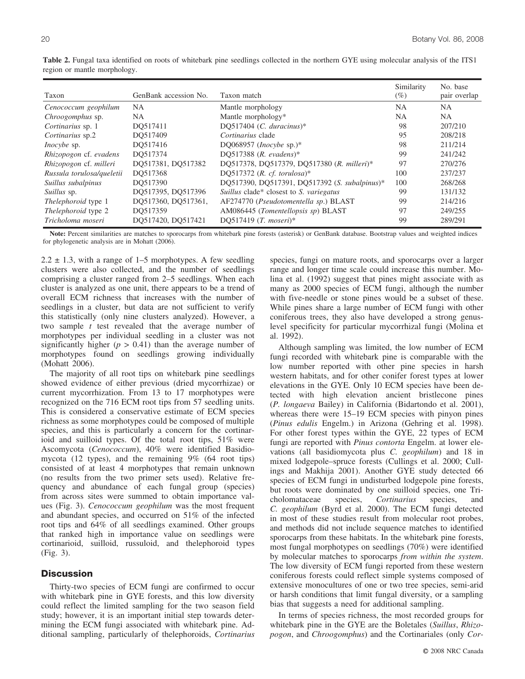| Taxon                      | GenBank accession No. | Taxon match                                   | Similarity<br>$(\%)$ | No. base<br>pair overlap |
|----------------------------|-----------------------|-----------------------------------------------|----------------------|--------------------------|
| Cenococcum geophilum       | NA.                   | Mantle morphology                             | NA                   | <b>NA</b>                |
| Chroogomphus sp.           | NA.                   | Mantle morphology*                            | NA                   | <b>NA</b>                |
| Cortinarius sp. 1          | DO517411              | DQ517404 (C. duracinus)*                      | 98                   | 207/210                  |
| Cortinarius sp.2           | DO517409              | Cortinarius clade                             | 95                   | 208/218                  |
| <i>Inocybe</i> sp.         | DO517416              | DO068957 ( <i>Inocybe</i> sp.)*               | 98                   | 211/214                  |
| Rhizopogon cf. evadens     | DO517374              | DQ517388 (R. evadens)*                        | 99                   | 241/242                  |
| Rhizopogon cf. milleri     | DO517381, DO517382    | DQ517378, DQ517379, DQ517380 (R. milleri)*    | 97                   | 270/276                  |
| Russula torulosa/queletii  | DO517368              | DO517372 (R. cf. torulosa)*                   | 100                  | 237/237                  |
| Suillus subalpinus         | DO517390              | DQ517390, DQ517391, DQ517392 (S. subalpinus)* | 100                  | 268/268                  |
| Suillus sp.                | DO517395, DO517396    | Suillus clade* closest to S. variegatus       | 99                   | 131/132                  |
| <i>Thelephoroid</i> type 1 | DQ517360, DQ517361,   | AF274770 (Pseudotomentella sp.) BLAST         | 99                   | 214/216                  |
| Thelephoroid type 2        | DO517359              | AM086445 (Tomentellopsis sp) BLAST            | 97                   | 249/255                  |

**Table 2.** Fungal taxa identified on roots of whitebark pine seedlings collected in the northern GYE using molecular analysis of the ITS1 region or mantle morphology.

**Note:** Percent similarities are matches to sporocarps from whitebark pine forests (asterisk) or GenBank database. Bootstrap values and weighted indices for phylogenetic analysis are in Mohatt (2006).

*Tricholoma moseri* DQ517420, DQ517421 DQ517419 (*T. moseri*)\* 99 289/291

 $2.2 \pm 1.3$ , with a range of 1–5 morphotypes. A few seedling clusters were also collected, and the number of seedlings comprising a cluster ranged from 2–5 seedlings. When each cluster is analyzed as one unit, there appears to be a trend of overall ECM richness that increases with the number of seedlings in a cluster, but data are not sufficient to verify this statistically (only nine clusters analyzed). However, a two sample *t* test revealed that the average number of morphotypes per individual seedling in a cluster was not significantly higher  $(p > 0.41)$  than the average number of morphotypes found on seedlings growing individually (Mohatt 2006).

The majority of all root tips on whitebark pine seedlings showed evidence of either previous (dried mycorrhizae) or current mycorrhization. From 13 to 17 morphotypes were recognized on the 716 ECM root tips from 57 seedling units. This is considered a conservative estimate of ECM species richness as some morphotypes could be composed of multiple species, and this is particularly a concern for the cortinarioid and suilloid types. Of the total root tips, 51% were Ascomycota (*Cenococcum*), 40% were identified Basidiomycota (12 types), and the remaining 9% (64 root tips) consisted of at least 4 morphotypes that remain unknown (no results from the two primer sets used). Relative frequency and abundance of each fungal group (species) from across sites were summed to obtain importance values (Fig. 3). *Cenococcum geophilum* was the most frequent and abundant species, and occurred on 51% of the infected root tips and 64% of all seedlings examined. Other groups that ranked high in importance value on seedlings were cortinarioid, suilloid, russuloid, and thelephoroid types (Fig. 3).

# **Discussion**

Thirty-two species of ECM fungi are confirmed to occur with whitebark pine in GYE forests, and this low diversity could reflect the limited sampling for the two season field study; however, it is an important initial step towards determining the ECM fungi associated with whitebark pine. Additional sampling, particularly of thelephoroids, *Cortinarius* species, fungi on mature roots, and sporocarps over a larger range and longer time scale could increase this number. Molina et al. (1992) suggest that pines might associate with as many as 2000 species of ECM fungi, although the number with five-needle or stone pines would be a subset of these. While pines share a large number of ECM fungi with other coniferous trees, they also have developed a strong genuslevel specificity for particular mycorrhizal fungi (Molina et al. 1992).

Although sampling was limited, the low number of ECM fungi recorded with whitebark pine is comparable with the low number reported with other pine species in harsh western habitats, and for other conifer forest types at lower elevations in the GYE. Only 10 ECM species have been detected with high elevation ancient bristlecone pines (*P. longaeva* Bailey) in California (Bidartondo et al. 2001), whereas there were 15–19 ECM species with pinyon pines (*Pinus edulis* Engelm.) in Arizona (Gehring et al. 1998). For other forest types within the GYE, 22 types of ECM fungi are reported with *Pinus contorta* Engelm. at lower elevations (all basidiomycota plus *C. geophilum*) and 18 in mixed lodgepole–spruce forests (Cullings et al. 2000; Cullings and Makhija 2001). Another GYE study detected 66 species of ECM fungi in undisturbed lodgepole pine forests, but roots were dominated by one suilloid species, one Tricholomataceae species, *Cortinarius* species, *C. geophilum* (Byrd et al. 2000). The ECM fungi detected in most of these studies result from molecular root probes, and methods did not include sequence matches to identified sporocarps from these habitats. In the whitebark pine forests, most fungal morphotypes on seedlings (70%) were identified by molecular matches to sporocarps *from within the system*. The low diversity of ECM fungi reported from these western coniferous forests could reflect simple systems composed of extensive monocultures of one or two tree species, semi-arid or harsh conditions that limit fungal diversity, or a sampling bias that suggests a need for additional sampling.

In terms of species richness, the most recorded groups for whitebark pine in the GYE are the Boletales (*Suillus*, *Rhizopogon*, and *Chroogomphus*) and the Cortinariales (only *Cor-*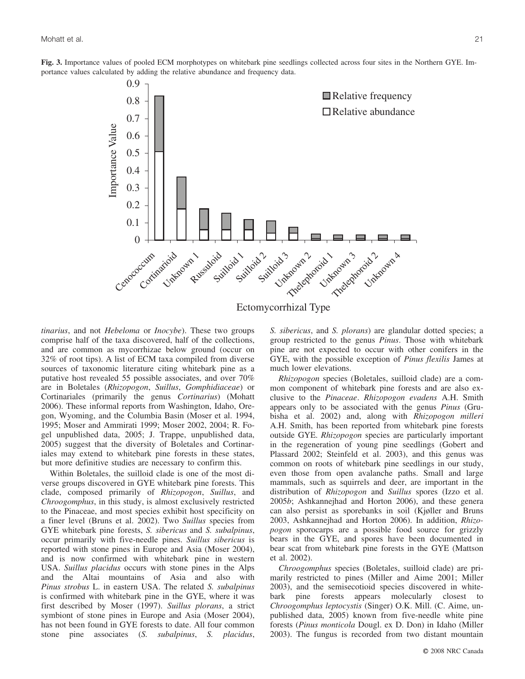



*tinarius*, and not *Hebeloma* or *Inocybe*). These two groups comprise half of the taxa discovered, half of the collections, and are common as mycorrhizae below ground (occur on 32% of root tips). A list of ECM taxa compiled from diverse sources of taxonomic literature citing whitebark pine as a putative host revealed 55 possible associates, and over 70% are in Boletales (*Rhizopogon*, *Suillus*, *Gomphidiaceae*) or Cortinariales (primarily the genus *Cortinarius*) (Mohatt 2006). These informal reports from Washington, Idaho, Oregon, Wyoming, and the Columbia Basin (Moser et al. 1994, 1995; Moser and Ammirati 1999; Moser 2002, 2004; R. Fogel unpublished data, 2005; J. Trappe, unpublished data, 2005) suggest that the diversity of Boletales and Cortinariales may extend to whitebark pine forests in these states, but more definitive studies are necessary to confirm this.

Within Boletales, the suilloid clade is one of the most diverse groups discovered in GYE whitebark pine forests. This clade, composed primarily of *Rhizopogon*, *Suillus*, and *Chroogomphus*, in this study, is almost exclusively restricted to the Pinaceae, and most species exhibit host specificity on a finer level (Bruns et al. 2002). Two *Suillus* species from GYE whitebark pine forests, *S. sibericus* and *S. subalpinus*, occur primarily with five-needle pines. *Suillus sibericus* is reported with stone pines in Europe and Asia (Moser 2004), and is now confirmed with whitebark pine in western USA. *Suillus placidus* occurs with stone pines in the Alps and the Altai mountains of Asia and also with *Pinus strobus* L. in eastern USA. The related *S. subalpinus* is confirmed with whitebark pine in the GYE, where it was first described by Moser (1997). *Suillus plorans*, a strict symbiont of stone pines in Europe and Asia (Moser 2004), has not been found in GYE forests to date. All four common stone pine associates (*S. subalpinus*, *S. placidus*, *S. sibericus*, and *S. plorans*) are glandular dotted species; a group restricted to the genus *Pinus*. Those with whitebark pine are not expected to occur with other conifers in the GYE, with the possible exception of *Pinus flexilis* James at much lower elevations.

*Rhizopogon* species (Boletales, suilloid clade) are a common component of whitebark pine forests and are also exclusive to the *Pinaceae*. *Rhizopogon evadens* A.H. Smith appears only to be associated with the genus *Pinus* (Grubisha et al. 2002) and, along with *Rhizopogon milleri* A.H. Smith, has been reported from whitebark pine forests outside GYE. *Rhizopogon* species are particularly important in the regeneration of young pine seedlings (Gobert and Plassard 2002; Steinfeld et al. 2003), and this genus was common on roots of whitebark pine seedlings in our study, even those from open avalanche paths. Small and large mammals, such as squirrels and deer, are important in the distribution of *Rhizopogon* and *Suillus* spores (Izzo et al. 2005*b*; Ashkannejhad and Horton 2006), and these genera can also persist as sporebanks in soil (Kjøller and Bruns 2003, Ashkannejhad and Horton 2006). In addition, *Rhizopogon* sporocarps are a possible food source for grizzly bears in the GYE, and spores have been documented in bear scat from whitebark pine forests in the GYE (Mattson et al. 2002).

*Chroogomphus* species (Boletales, suilloid clade) are primarily restricted to pines (Miller and Aime 2001; Miller 2003), and the semisecotioid species discovered in whitebark pine forests appears molecularly closest to *Chroogomphus leptocystis* (Singer) O.K. Mill. (C. Aime, unpublished data, 2005) known from five-needle white pine forests (*Pinus monticola* Dougl. ex D. Don) in Idaho (Miller 2003). The fungus is recorded from two distant mountain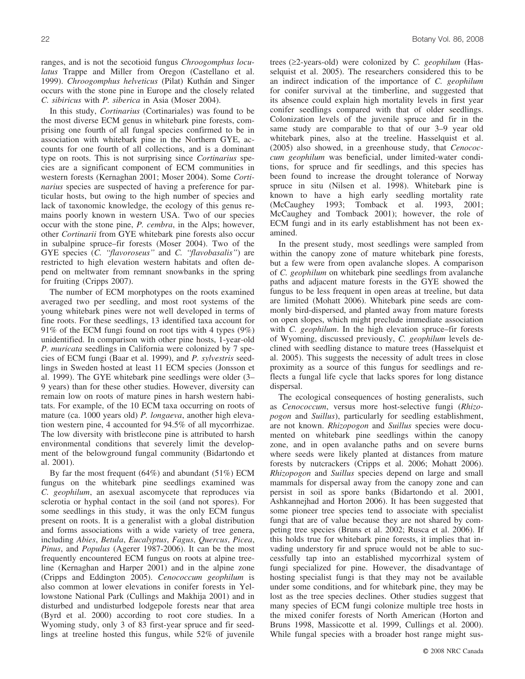ranges, and is not the secotioid fungus *Chroogomphus loculatus* Trappe and Miller from Oregon (Castellano et al. 1999). *Chroogomphus helveticus* (Pilat) Kuthán and Singer occurs with the stone pine in Europe and the closely related *C. sibiricus* with *P. siberica* in Asia (Moser 2004).

In this study, *Cortinarius* (Cortinariales) was found to be the most diverse ECM genus in whitebark pine forests, comprising one fourth of all fungal species confirmed to be in association with whitebark pine in the Northern GYE, accounts for one fourth of all collections, and is a dominant type on roots. This is not surprising since *Cortinarius* species are a significant component of ECM communities in western forests (Kernaghan 2001; Moser 2004). Some *Cortinarius* species are suspected of having a preference for particular hosts, but owing to the high number of species and lack of taxonomic knowledge, the ecology of this genus remains poorly known in western USA. Two of our species occur with the stone pine, *P. cembra*, in the Alps; however, other *Cortinarii* from GYE whitebark pine forests also occur in subalpine spruce–fir forests (Moser 2004). Two of the GYE species (*C. ''flavoroseus''* and *C. ''flavobasalis''*) are restricted to high elevation western habitats and often depend on meltwater from remnant snowbanks in the spring for fruiting (Cripps 2007).

The number of ECM morphotypes on the roots examined averaged two per seedling, and most root systems of the young whitebark pines were not well developed in terms of fine roots. For these seedlings, 13 identified taxa account for 91% of the ECM fungi found on root tips with 4 types (9%) unidentified. In comparison with other pine hosts, 1-year-old *P. muricata* seedlings in California were colonized by 7 species of ECM fungi (Baar et al. 1999), and *P. sylvestris* seedlings in Sweden hosted at least 11 ECM species (Jonsson et al. 1999). The GYE whitebark pine seedlings were older (3– 9 years) than for these other studies. However, diversity can remain low on roots of mature pines in harsh western habitats. For example, of the 10 ECM taxa occurring on roots of mature (ca. 1000 years old) *P. longaeva*, another high elevation western pine, 4 accounted for 94.5% of all mycorrhizae. The low diversity with bristlecone pine is attributed to harsh environmental conditions that severely limit the development of the belowground fungal community (Bidartondo et al. 2001).

By far the most frequent (64%) and abundant (51%) ECM fungus on the whitebark pine seedlings examined was *C. geophilum*, an asexual ascomycete that reproduces via sclerotia or hyphal contact in the soil (and not spores). For some seedlings in this study, it was the only ECM fungus present on roots. It is a generalist with a global distribution and forms associations with a wide variety of tree genera, including *Abies*, *Betula*, *Eucalyptus*, *Fagus*, *Quercus*, *Picea*, *Pinus*, and *Populus* (Agerer 1987-2006). It can be the most frequently encountered ECM fungus on roots at alpine treeline (Kernaghan and Harper 2001) and in the alpine zone (Cripps and Eddington 2005). *Cenococcum geophilum* is also common at lower elevations in conifer forests in Yellowstone National Park (Cullings and Makhija 2001) and in disturbed and undisturbed lodgepole forests near that area (Byrd et al. 2000) according to root core studies. In a Wyoming study, only 3 of 83 first-year spruce and fir seedlings at treeline hosted this fungus, while 52% of juvenile

trees (*‡*2-years-old) were colonized by *C. geophilum* (Hasselquist et al. 2005). The researchers considered this to be an indirect indication of the importance of *C. geophilum* for conifer survival at the timberline, and suggested that its absence could explain high mortality levels in first year conifer seedlings compared with that of older seedlings. Colonization levels of the juvenile spruce and fir in the same study are comparable to that of our 3–9 year old whitebark pines, also at the treeline. Hasselquist et al. (2005) also showed, in a greenhouse study, that *Cenococcum geophilum* was beneficial, under limited-water conditions, for spruce and fir seedlings, and this species has been found to increase the drought tolerance of Norway spruce in situ (Nilsen et al. 1998). Whitebark pine is known to have a high early seedling mortality rate (McCaughey 1993; Tomback et al. 1993, 2001; McCaughey and Tomback 2001); however, the role of ECM fungi and in its early establishment has not been examined.

In the present study, most seedlings were sampled from within the canopy zone of mature whitebark pine forests, but a few were from open avalanche slopes. A comparison of *C. geophilum* on whitebark pine seedlings from avalanche paths and adjacent mature forests in the GYE showed the fungus to be less frequent in open areas at treeline, but data are limited (Mohatt 2006). Whitebark pine seeds are commonly bird-dispersed, and planted away from mature forests on open slopes, which might preclude immediate association with *C. geophilum*. In the high elevation spruce–fir forests of Wyoming, discussed previously, *C. geophilum* levels declined with seedling distance to mature trees (Hasselquist et al. 2005). This suggests the necessity of adult trees in close proximity as a source of this fungus for seedlings and reflects a fungal life cycle that lacks spores for long distance dispersal.

The ecological consequences of hosting generalists, such as *Cenococcum*, versus more host-selective fungi (*Rhizopogon* and *Suillus*), particularly for seedling establishment, are not known. *Rhizopogon* and *Suillus* species were documented on whitebark pine seedlings within the canopy zone, and in open avalanche paths and on severe burns where seeds were likely planted at distances from mature forests by nutcrackers (Cripps et al. 2006; Mohatt 2006). *Rhizopogon* and *Suillus* species depend on large and small mammals for dispersal away from the canopy zone and can persist in soil as spore banks (Bidartondo et al. 2001, Ashkannejhad and Horton 2006). It has been suggested that some pioneer tree species tend to associate with specialist fungi that are of value because they are not shared by competing tree species (Bruns et al. 2002; Rusca et al. 2006). If this holds true for whitebark pine forests, it implies that invading understory fir and spruce would not be able to successfully tap into an established mycorrhizal system of fungi specialized for pine. However, the disadvantage of hosting specialist fungi is that they may not be available under some conditions, and for whitebark pine, they may be lost as the tree species declines. Other studies suggest that many species of ECM fungi colonize multiple tree hosts in the mixed conifer forests of North American (Horton and Bruns 1998, Massicotte et al. 1999, Cullings et al. 2000). While fungal species with a broader host range might sus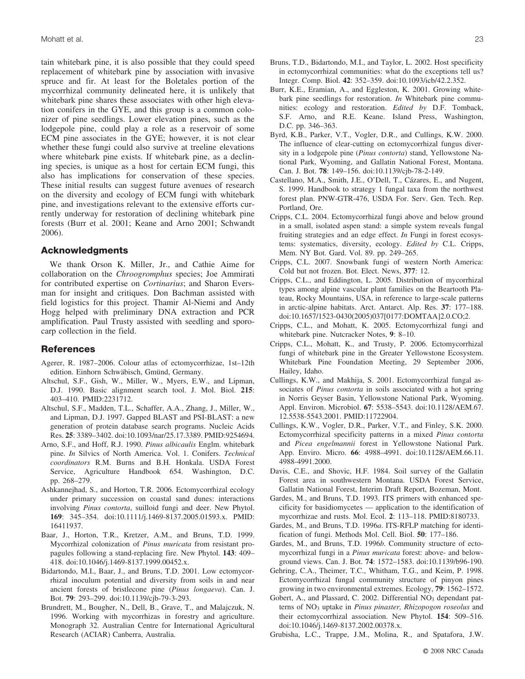tain whitebark pine, it is also possible that they could speed replacement of whitebark pine by association with invasive spruce and fir. At least for the Boletales portion of the mycorrhizal community delineated here, it is unlikely that whitebark pine shares these associates with other high elevation conifers in the GYE, and this group is a common colonizer of pine seedlings. Lower elevation pines, such as the lodgepole pine, could play a role as a reservoir of some ECM pine associates in the GYE; however, it is not clear whether these fungi could also survive at treeline elevations where whitebark pine exists. If whitebark pine, as a declining species, is unique as a host for certain ECM fungi, this also has implications for conservation of these species. These initial results can suggest future avenues of research on the diversity and ecology of ECM fungi with whitebark pine, and investigations relevant to the extensive efforts currently underway for restoration of declining whitebark pine forests (Burr et al. 2001; Keane and Arno 2001; Schwandt 2006).

## **Acknowledgments**

We thank Orson K. Miller, Jr., and Cathie Aime for collaboration on the *Chroogromphus* species; Joe Ammirati for contributed expertise on *Cortinarius*; and Sharon Eversman for insight and critiques. Don Bachman assisted with field logistics for this project. Thamir Al-Niemi and Andy Hogg helped with preliminary DNA extraction and PCR amplification. Paul Trusty assisted with seedling and sporocarp collection in the field.

### **References**

- Agerer, R. 1987–2006. Colour atlas of ectomycorrhizae, 1st–12th edition. Einhorn Schwäbisch, Gmünd, Germany.
- Altschul, S.F., Gish, W., Miller, W., Myers, E.W., and Lipman, D.J. 1990. Basic alignment search tool. J. Mol. Biol. **215**: 403–410. PMID:2231712.
- Altschul, S.F., Madden, T.L., Schaffer, A.A., Zhang, J., Miller, W., and Lipman, D.J. 1997. Gapped BLAST and PSI-BLAST: a new generation of protein database search programs. Nucleic Acids Res. **25**: 3389–3402. doi:10.1093/nar/25.17.3389. PMID:9254694.
- Arno, S.F., and Hoff, R.J. 1990. *Pinus albicaulis* Englm. whitebark pine. *In* Silvics of North America. Vol. 1. Conifers. *Technical coordinators* R.M. Burns and B.H. Honkala. USDA Forest Service, Agriculture Handbook 654. Washington, D.C. pp. 268–279.
- Ashkannejhad, S., and Horton, T.R. 2006. Ectomycorrhizal ecology under primary succession on coastal sand dunes: interactions involving *Pinus contorta*, suilloid fungi and deer. New Phytol. **169**: 345–354. doi:10.1111/j.1469-8137.2005.01593.x. PMID: 16411937.
- Baar, J., Horton, T.R., Kretzer, A.M., and Bruns, T.D. 1999. Mycorrhizal colonization of *Pinus muricata* from resistant propagules following a stand-replacing fire. New Phytol. **143**: 409– 418. doi:10.1046/j.1469-8137.1999.00452.x.
- Bidartondo, M.I., Baar, J., and Bruns, T.D. 2001. Low ectomycorrhizal inoculum potential and diversity from soils in and near ancient forests of bristlecone pine (*Pinus longaeva*). Can. J. Bot. **79**: 293–299. doi:10.1139/cjb-79-3-293.
- Brundrett, M., Bougher, N., Dell, B., Grave, T., and Malajczuk, N. 1996. Working with mycorrhizas in forestry and agriculture. Monograph 32. Australian Centre for International Agricultural Research (ACIAR) Canberra, Australia.
- Bruns, T.D., Bidartondo, M.I., and Taylor, L. 2002. Host specificity in ectomycorrhizal communities: what do the exceptions tell us? Integr. Comp. Biol. **42**: 352–359. doi:10.1093/icb/42.2.352.
- Burr, K.E., Eramian, A., and Eggleston, K. 2001. Growing whitebark pine seedlings for restoration. *In* Whitebark pine communities: ecology and restoration. *Edited by* D.F. Tomback, S.F. Arno, and R.E. Keane. Island Press, Washington, D.C. pp. 346–363.
- Byrd, K.B., Parker, V.T., Vogler, D.R., and Cullings, K.W. 2000. The influence of clear-cutting on ectomycorrhizal fungus diversity in a lodgepole pine (*Pinus contorta*) stand, Yellowstone National Park, Wyoming, and Gallatin National Forest, Montana. Can. J. Bot. **78**: 149–156. doi:10.1139/cjb-78-2-149.
- Castellano, M.A., Smith, J.E., O'Dell, T., Cázares, E., and Nugent, S. 1999. Handbook to strategy 1 fungal taxa from the northwest forest plan. PNW-GTR-476, USDA For. Serv. Gen. Tech. Rep. Portland, Ore.
- Cripps, C.L. 2004. Ectomycorrhizal fungi above and below ground in a small, isolated aspen stand: a simple system reveals fungal fruiting strategies and an edge effect. *In* Fungi in forest ecosystems: systematics, diversity, ecology. *Edited by* C.L. Cripps, Mem. NY Bot. Gard. Vol. 89. pp. 249–265.
- Cripps, C.L. 2007. Snowbank fungi of western North America: Cold but not frozen. Bot. Elect. News, **377**: 12.
- Cripps, C.L., and Eddington, L. 2005. Distribution of mycorrhizal types among alpine vascular plant families on the Beartooth Plateau, Rocky Mountains, USA, in reference to large-scale patterns in arctic-alpine habitats. Arct. Antarct. Alp. Res. **37**: 177–188. doi:10.1657/1523-0430(2005)037[0177:DOMTAA]2.0.CO;2.
- Cripps, C.L., and Mohatt, K. 2005. Ectomycorrhizal fungi and whitebark pine. Nutcracker Notes, **9**: 8–10.
- Cripps, C.L., Mohatt, K., and Trusty, P. 2006. Ectomycorrhizal fungi of whitebark pine in the Greater Yellowstone Ecosystem. Whitebark Pine Foundation Meeting, 29 September 2006, Hailey, Idaho.
- Cullings, K.W., and Makhija, S. 2001. Ectomycorrhizal fungal associates of *Pinus contorta* in soils associated with a hot spring in Norris Geyser Basin, Yellowstone National Park, Wyoming. Appl. Environ. Microbiol. **67**: 5538–5543. doi:10.1128/AEM.67. 12.5538-5543.2001. PMID:11722904.
- Cullings, K.W., Vogler, D.R., Parker, V.T., and Finley, S.K. 2000. Ectomycorrhizal specificity patterns in a mixed *Pinus contorta* and *Picea engelmannii* forest in Yellowstone National Park. App. Enviro. Micro. **66**: 4988–4991. doi:10.1128/AEM.66.11. 4988-4991.2000.
- Davis, C.E., and Shovic, H.F. 1984. Soil survey of the Gallatin Forest area in southwestern Montana. USDA Forest Service, Gallatin National Forest, Interim Draft Report, Bozeman, Mont.
- Gardes, M., and Bruns, T.D. 1993. ITS primers with enhanced specificity for basidiomycetes — application to the identification of mycorrhizae and rusts. Mol. Ecol. **2**: 113–118. PMID:8180733.
- Gardes, M., and Bruns, T.D. 1996*a*. ITS-RFLP matching for identification of fungi. Methods Mol. Cell. Biol. **50**: 177–186.
- Gardes, M., and Bruns, T.D. 1996*b*. Community structure of ectomycorrhizal fungi in a *Pinus muricata* forest: above- and belowground views. Can. J. Bot. **74**: 1572–1583. doi:10.1139/b96-190.
- Gehring, C.A., Theimer, T.C., Whitham, T.G., and Keim, P. 1998. Ectomycorrhizal fungal community structure of pinyon pines growing in two environmental extremes. Ecology, **79**: 1562–1572.
- Gobert, A., and Plassard, C. 2002. Differential NO<sub>3</sub> dependant patterns of NO3 uptake in *Pinus pinaster, Rhizopogon roseolus* and their ectomycorrhizal association. New Phytol. **154**: 509–516. doi:10.1046/j.1469-8137.2002.00378.x.
- Grubisha, L.C., Trappe, J.M., Molina, R., and Spatafora, J.W.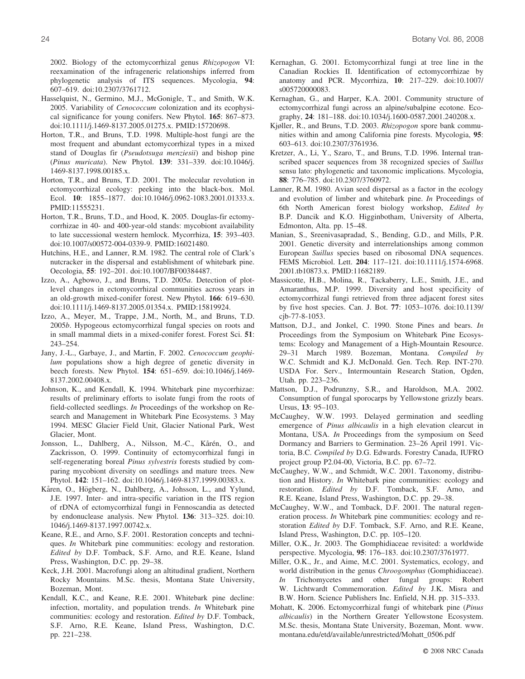2002. Biology of the ectomycorrhizal genus *Rhizopogon* VI: reexamination of the infrageneric relationships inferred from phylogenetic analysis of ITS sequences. Mycologia, **94**: 607–619. doi:10.2307/3761712.

- Hasselquist, N., Germino, M.J., McGonigle, T., and Smith, W.K. 2005. Variability of *Cenococcum* colonization and its ecophysical significance for young conifers. New Phytol. **165**: 867–873. doi:10.1111/j.1469-8137.2005.01275.x. PMID:15720698.
- Horton, T.R., and Bruns, T.D. 1998. Multiple-host fungi are the most frequent and abundant ectomycorrhizal types in a mixed stand of Douglas fir (*Pseudotsuga menziesii*) and bishop pine (*Pinus muricata*). New Phytol. **139**: 331–339. doi:10.1046/j. 1469-8137.1998.00185.x.
- Horton, T.R., and Bruns, T.D. 2001. The molecular revolution in ectomycorrhizal ecology: peeking into the black-box. Mol. Ecol. **10**: 1855–1877. doi:10.1046/j.0962-1083.2001.01333.x. PMID:11555231.
- Horton, T.R., Bruns, T.D., and Hood, K. 2005. Douglas-fir ectomycorrhizae in 40- and 400-year-old stands: mycobiont availability to late successional western hemlock. Mycorrhiza, **15**: 393–403. doi:10.1007/s00572-004-0339-9. PMID:16021480.
- Hutchins, H.E., and Lanner, R.M. 1982. The central role of Clark's nutcracker in the dispersal and establishment of whitebark pine. Oecologia, **55**: 192–201. doi:10.1007/BF00384487.
- Izzo, A., Agbowo, J., and Bruns, T.D. 2005*a*. Detection of plotlevel changes in ectomycorrhizal communities across years in an old-growth mixed-conifer forest. New Phytol. **166**: 619–630. doi:10.1111/j.1469-8137.2005.01354.x. PMID:15819924.
- Izzo, A., Meyer, M., Trappe, J.M., North, M., and Bruns, T.D. 2005*b*. Hypogeous ectomycorrhizal fungal species on roots and in small mammal diets in a mixed-conifer forest. Forest Sci. **51**: 243–254.
- Jany, J.-L., Garbaye, J., and Martin, F. 2002. *Cenococcum geophilum* populations show a high degree of genetic diversity in beech forests. New Phytol. **154**: 651–659. doi:10.1046/j.1469- 8137.2002.00408.x.
- Johnson, K., and Kendall, K. 1994. Whitebark pine mycorrhizae: results of preliminary efforts to isolate fungi from the roots of field-collected seedlings. *In* Proceedings of the workshop on Research and Management in Whitebark Pine Ecosystems. 3 May 1994. MESC Glacier Field Unit, Glacier National Park, West Glacier, Mont.
- Jonsson, L., Dahlberg, A., Nilsson, M.-C., Kårén, O., and Zackrisson, O. 1999. Continuity of ectomycorrhizal fungi in self-regenerating boreal *Pinus sylvestris* forests studied by comparing mycobiont diversity on seedlings and mature trees. New Phytol. **142**: 151–162. doi:10.1046/j.1469-8137.1999.00383.x.
- Kåren, O., Högberg, N., Dahlberg, A., Johsson, L., and Yylund, J.E. 1997. Inter- and intra-specific variation in the ITS region of rDNA of ectomycorrhizal fungi in Fennoscandia as detected by endonuclease analysis. New Phytol. **136**: 313–325. doi:10. 1046/j.1469-8137.1997.00742.x.
- Keane, R.E., and Arno, S.F. 2001. Restoration concepts and techniques. *In* Whitebark pine communities: ecology and restoration. *Edited by* D.F. Tomback, S.F. Arno, and R.E. Keane, Island Press, Washington, D.C. pp. 29–38.
- Keck, J.H. 2001. Macrofungi along an altitudinal gradient, Northern Rocky Mountains. M.Sc. thesis, Montana State University, Bozeman, Mont.
- Kendall, K.C., and Keane, R.E. 2001. Whitebark pine decline: infection, mortality, and population trends. *In* Whitebark pine communities: ecology and restoration. *Edited by* D.F. Tomback, S.F. Arno, R.E. Keane, Island Press, Washington, D.C. pp. 221–238.
- Kernaghan, G. 2001. Ectomycorrhizal fungi at tree line in the Canadian Rockies II. Identification of ectomycorrhizae by anatomy and PCR. Mycorrhiza, **10**: 217–229. doi:10.1007/ s005720000083.
- Kernaghan, G., and Harper, K.A. 2001. Community structure of ectomycorrhizal fungi across an alpine/subalpine ecotone. Ecography, **24**: 181–188. doi:10.1034/j.1600-0587.2001.240208.x.
- Kjøller, R., and Bruns, T.D. 2003. *Rhizopogon* spore bank communities within and among California pine forests. Mycologia, **95**: 603–613. doi:10.2307/3761936.
- Kretzer, A., Li, Y., Szaro, T., and Bruns, T.D. 1996. Internal transcribed spacer sequences from 38 recognized species of *Suillus* sensu lato: phylogenetic and taxonomic implications. Mycologia, **88**: 776–785. doi:10.2307/3760972.
- Lanner, R.M. 1980. Avian seed dispersal as a factor in the ecology and evolution of limber and whitebark pine. *In* Proceedings of 6th North American forest biology workshop, *Edited by* B.P. Dancik and K.O. Higginbotham, University of Alberta, Edmonton, Alta. pp. 15–48.
- Manian, S., Sreenivasapradad, S., Bending, G.D., and Mills, P.R. 2001. Genetic diversity and interrelationships among common European *Suillus* species based on ribosomal DNA sequences. FEMS Microbiol. Lett. **204**: 117–121. doi:10.1111/j.1574-6968. 2001.tb10873.x. PMID:11682189.
- Massicotte, H.B., Molina, R., Tackaberry, L.E., Smith, J.E., and Amaranthus, M.P. 1999. Diversity and host specificity of ectomycorrhizal fungi retrieved from three adjacent forest sites by five host species. Can. J. Bot. **77**: 1053–1076. doi:10.1139/ cjb-77-8-1053.
- Mattson, D.J., and Jonkel, C. 1990. Stone Pines and bears. *In* Proceedings from the Symposium on Whitebark Pine Ecosystems: Ecology and Management of a High-Mountain Resource. 29–31 March 1989. Bozeman, Montana. *Compiled by* W.C. Schmidt and K.J. McDonald. Gen. Tech. Rep. INT-270. USDA For. Serv., Intermountain Research Station, Ogden, Utah. pp. 223–236.
- Mattson, D.J., Podrunzny, S.R., and Haroldson, M.A. 2002. Consumption of fungal sporocarps by Yellowstone grizzly bears. Ursus, **13**: 95–103.
- McCaughey, W.W. 1993. Delayed germination and seedling emergence of *Pinus albicaulis* in a high elevation clearcut in Montana, USA. *In* Proceedings from the symposium on Seed Dormancy and Barriers to Germination. 23–26 April 1991. Victoria, B.C. *Compiled by* D.G. Edwards. Forestry Canada, IUFRO project group P2.04-00, Victoria, B.C. pp. 67–72.
- McCaughey, W.W., and Schmidt, W.C. 2001. Taxonomy, distribution and History. *In* Whitebark pine communities: ecology and restoration. *Edited by* D.F. Tomback, S.F. Arno, and R.E. Keane, Island Press, Washington, D.C. pp. 29–38.
- McCaughey, W.W., and Tomback, D.F. 2001. The natural regeneration process. *In* Whitebark pine communities: ecology and restoration *Edited by* D.F. Tomback, S.F. Arno, and R.E. Keane, Island Press, Washington, D.C. pp. 105–120.
- Miller, O.K., Jr. 2003. The Gomphidiaceae revisited: a worldwide perspective. Mycologia, **95**: 176–183. doi:10.2307/3761977.
- Miller, O.K., Jr., and Aime, M.C. 2001. Systematics, ecology, and world distribution in the genus *Chroogomphus* (Gomphidiaceae). *In* Trichomycetes and other fungal groups: Robert W. Lichtwardt Commemoration. *Edited by* J.K. Misra and B.W. Horn. Science Publishers Inc. Enfield, N.H. pp. 315–333.
- Mohatt, K. 2006. Ectomycorrhizal fungi of whitebark pine (*Pinus albicaulis*) in the Northern Greater Yellowstone Ecosystem. M.Sc. thesis, Montana State University, Bozeman, Mont. www. montana.edu/etd/available/unrestricted/Mohatt\_0506.pdf